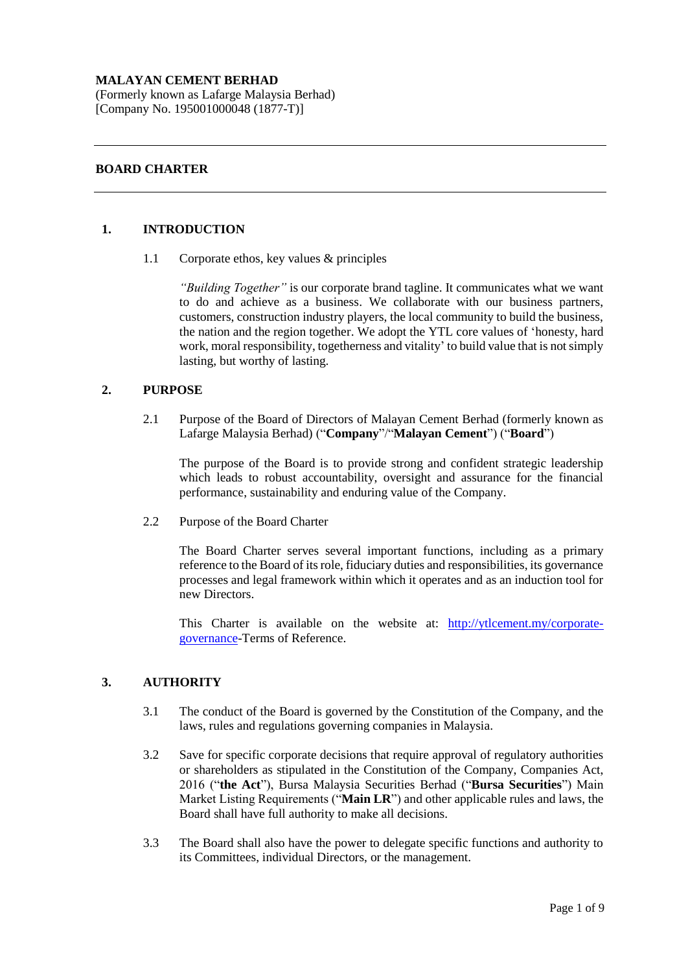## **MALAYAN CEMENT BERHAD**

(Formerly known as Lafarge Malaysia Berhad) [Company No. 195001000048 (1877-T)]

## **BOARD CHARTER**

## **1. INTRODUCTION**

1.1 Corporate ethos, key values & principles

*"Building Together"* is our corporate brand tagline. It communicates what we want to do and achieve as a business. We collaborate with our business partners, customers, construction industry players, the local community to build the business, the nation and the region together. We adopt the YTL core values of 'honesty, hard work, moral responsibility, togetherness and vitality' to build value that is not simply lasting, but worthy of lasting.

## **2. PURPOSE**

2.1 Purpose of the Board of Directors of Malayan Cement Berhad (formerly known as Lafarge Malaysia Berhad) ("**Company**"/"**Malayan Cement**") ("**Board**")

The purpose of the Board is to provide strong and confident strategic leadership which leads to robust accountability, oversight and assurance for the financial performance, sustainability and enduring value of the Company.

2.2 Purpose of the Board Charter

The Board Charter serves several important functions, including as a primary reference to the Board of its role, fiduciary duties and responsibilities, its governance processes and legal framework within which it operates and as an induction tool for new Directors.

This Charter is available on the website at: [http://ytlcement.my/corporate](http://ytlcement.my/corporate-governance/)[governance-](http://ytlcement.my/corporate-governance/)Terms of Reference.

# **3. AUTHORITY**

- 3.1 The conduct of the Board is governed by the Constitution of the Company, and the laws, rules and regulations governing companies in Malaysia.
- 3.2 Save for specific corporate decisions that require approval of regulatory authorities or shareholders as stipulated in the Constitution of the Company, Companies Act, 2016 ("**the Act**"), Bursa Malaysia Securities Berhad ("**Bursa Securities**") Main Market Listing Requirements ("**Main LR**") and other applicable rules and laws, the Board shall have full authority to make all decisions.
- 3.3 The Board shall also have the power to delegate specific functions and authority to its Committees, individual Directors, or the management.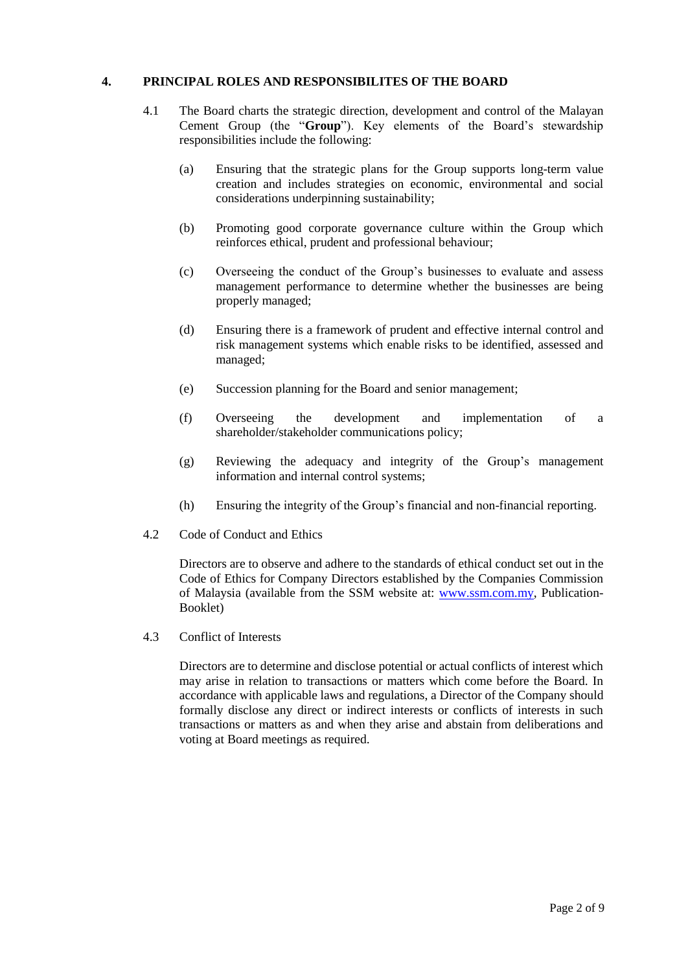# **4. PRINCIPAL ROLES AND RESPONSIBILITES OF THE BOARD**

- 4.1 The Board charts the strategic direction, development and control of the Malayan Cement Group (the "**Group**"). Key elements of the Board's stewardship responsibilities include the following:
	- (a) Ensuring that the strategic plans for the Group supports long-term value creation and includes strategies on economic, environmental and social considerations underpinning sustainability;
	- (b) Promoting good corporate governance culture within the Group which reinforces ethical, prudent and professional behaviour;
	- (c) Overseeing the conduct of the Group's businesses to evaluate and assess management performance to determine whether the businesses are being properly managed;
	- (d) Ensuring there is a framework of prudent and effective internal control and risk management systems which enable risks to be identified, assessed and managed;
	- (e) Succession planning for the Board and senior management;
	- (f) Overseeing the development and implementation of a shareholder/stakeholder communications policy;
	- (g) Reviewing the adequacy and integrity of the Group's management information and internal control systems;
	- (h) Ensuring the integrity of the Group's financial and non-financial reporting.
- 4.2 Code of Conduct and Ethics

Directors are to observe and adhere to the standards of ethical conduct set out in the Code of Ethics for Company Directors established by the Companies Commission of Malaysia (available from the SSM website at: [www.ssm.com.my,](http://www.ssm.com.my/) Publication-Booklet)

4.3 Conflict of Interests

Directors are to determine and disclose potential or actual conflicts of interest which may arise in relation to transactions or matters which come before the Board. In accordance with applicable laws and regulations, a Director of the Company should formally disclose any direct or indirect interests or conflicts of interests in such transactions or matters as and when they arise and abstain from deliberations and voting at Board meetings as required.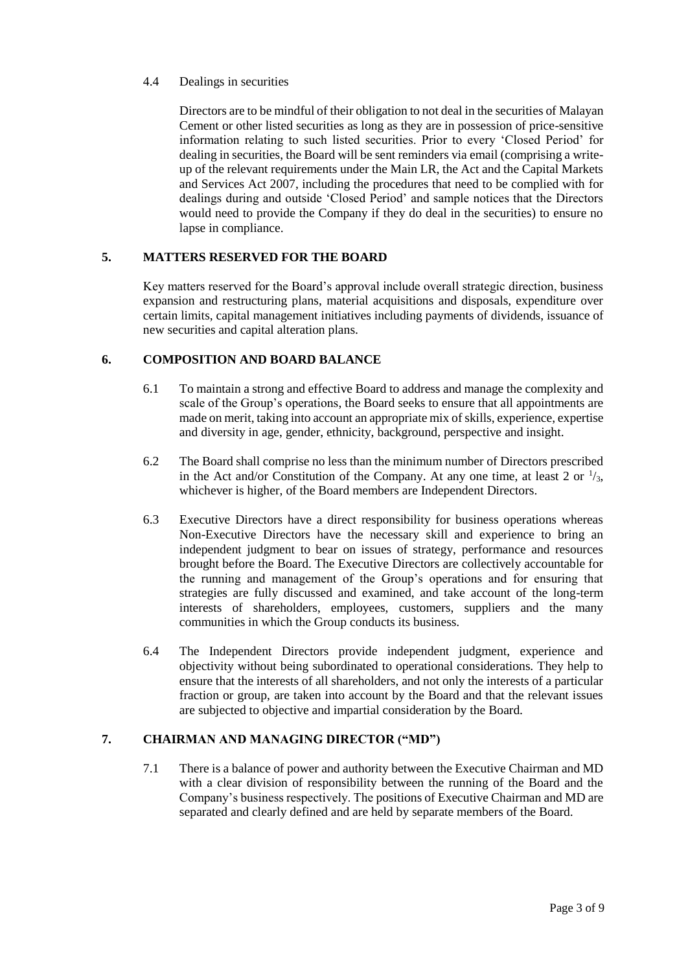# 4.4 Dealings in securities

Directors are to be mindful of their obligation to not deal in the securities of Malayan Cement or other listed securities as long as they are in possession of price-sensitive information relating to such listed securities. Prior to every 'Closed Period' for dealing in securities, the Board will be sent reminders via email (comprising a writeup of the relevant requirements under the Main LR, the Act and the Capital Markets and Services Act 2007, including the procedures that need to be complied with for dealings during and outside 'Closed Period' and sample notices that the Directors would need to provide the Company if they do deal in the securities) to ensure no lapse in compliance.

# **5. MATTERS RESERVED FOR THE BOARD**

Key matters reserved for the Board's approval include overall strategic direction, business expansion and restructuring plans, material acquisitions and disposals, expenditure over certain limits, capital management initiatives including payments of dividends, issuance of new securities and capital alteration plans.

# **6. COMPOSITION AND BOARD BALANCE**

- 6.1 To maintain a strong and effective Board to address and manage the complexity and scale of the Group's operations, the Board seeks to ensure that all appointments are made on merit, taking into account an appropriate mix of skills, experience, expertise and diversity in age, gender, ethnicity, background, perspective and insight.
- 6.2 The Board shall comprise no less than the minimum number of Directors prescribed in the Act and/or Constitution of the Company. At any one time, at least 2 or  $\frac{1}{3}$ , whichever is higher, of the Board members are Independent Directors.
- 6.3 Executive Directors have a direct responsibility for business operations whereas Non-Executive Directors have the necessary skill and experience to bring an independent judgment to bear on issues of strategy, performance and resources brought before the Board. The Executive Directors are collectively accountable for the running and management of the Group's operations and for ensuring that strategies are fully discussed and examined, and take account of the long-term interests of shareholders, employees, customers, suppliers and the many communities in which the Group conducts its business.
- 6.4 The Independent Directors provide independent judgment, experience and objectivity without being subordinated to operational considerations. They help to ensure that the interests of all shareholders, and not only the interests of a particular fraction or group, are taken into account by the Board and that the relevant issues are subjected to objective and impartial consideration by the Board.

## **7. CHAIRMAN AND MANAGING DIRECTOR ("MD")**

7.1 There is a balance of power and authority between the Executive Chairman and MD with a clear division of responsibility between the running of the Board and the Company's business respectively. The positions of Executive Chairman and MD are separated and clearly defined and are held by separate members of the Board.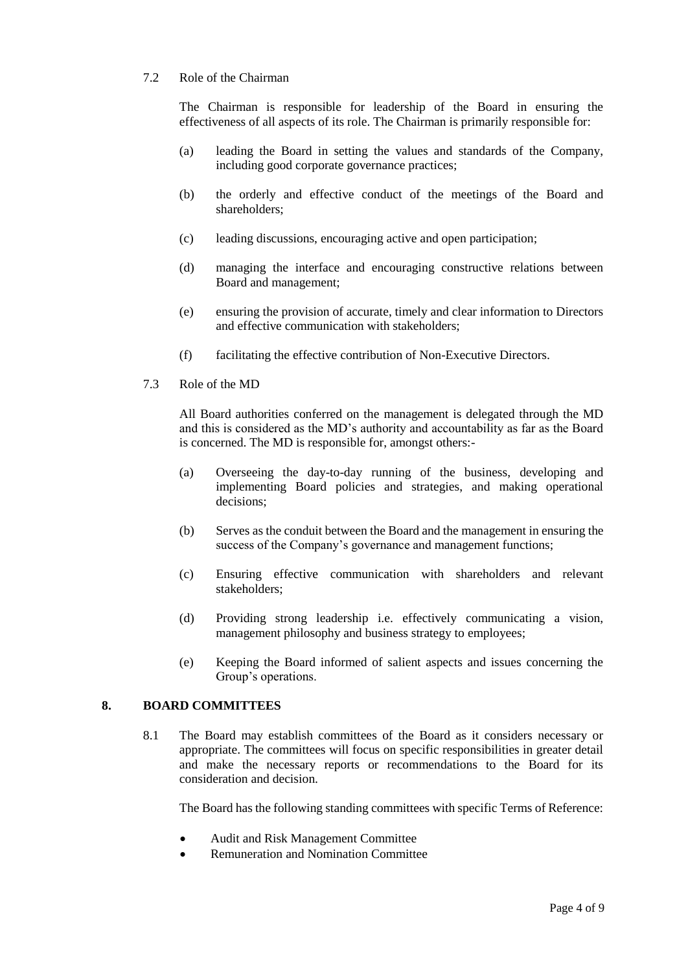## 7.2 Role of the Chairman

The Chairman is responsible for leadership of the Board in ensuring the effectiveness of all aspects of its role. The Chairman is primarily responsible for:

- (a) leading the Board in setting the values and standards of the Company, including good corporate governance practices;
- (b) the orderly and effective conduct of the meetings of the Board and shareholders;
- (c) leading discussions, encouraging active and open participation;
- (d) managing the interface and encouraging constructive relations between Board and management;
- (e) ensuring the provision of accurate, timely and clear information to Directors and effective communication with stakeholders;
- (f) facilitating the effective contribution of Non-Executive Directors.
- 7.3 Role of the MD

All Board authorities conferred on the management is delegated through the MD and this is considered as the MD's authority and accountability as far as the Board is concerned. The MD is responsible for, amongst others:-

- (a) Overseeing the day-to-day running of the business, developing and implementing Board policies and strategies, and making operational decisions;
- (b) Serves as the conduit between the Board and the management in ensuring the success of the Company's governance and management functions;
- (c) Ensuring effective communication with shareholders and relevant stakeholders;
- (d) Providing strong leadership i.e. effectively communicating a vision, management philosophy and business strategy to employees;
- (e) Keeping the Board informed of salient aspects and issues concerning the Group's operations.

## **8. BOARD COMMITTEES**

8.1 The Board may establish committees of the Board as it considers necessary or appropriate. The committees will focus on specific responsibilities in greater detail and make the necessary reports or recommendations to the Board for its consideration and decision.

The Board has the following standing committees with specific Terms of Reference:

- Audit and Risk Management Committee
- Remuneration and Nomination Committee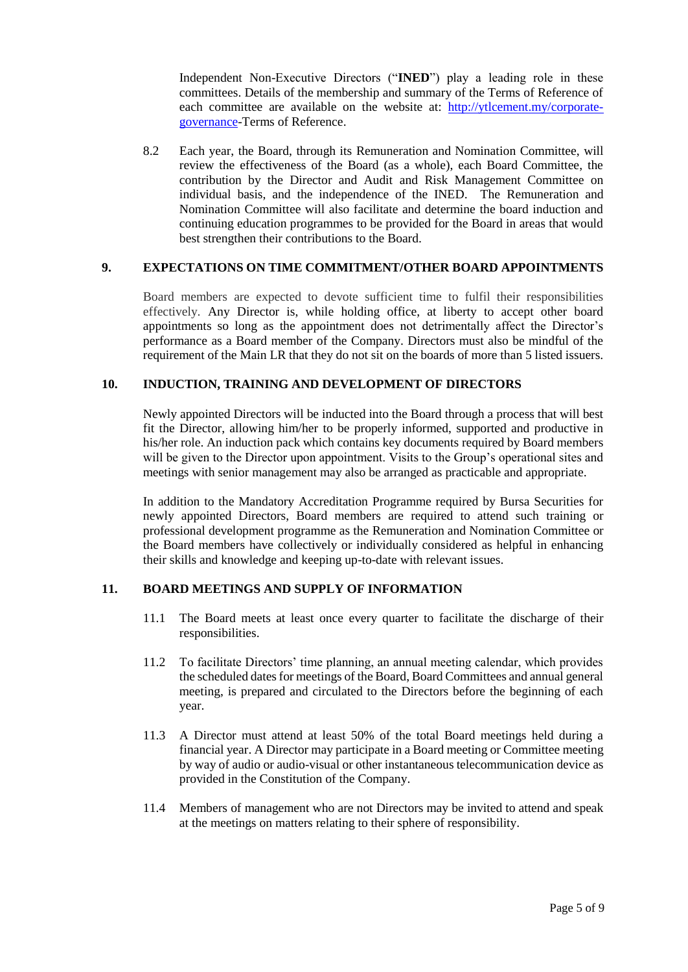Independent Non-Executive Directors ("**INED**") play a leading role in these committees. Details of the membership and summary of the Terms of Reference of each committee are available on the website at: [http://ytlcement.my/corporate](http://ytlcement.my/corporate-governance/)[governance-](http://ytlcement.my/corporate-governance/)Terms of Reference.

8.2 Each year, the Board, through its Remuneration and Nomination Committee, will review the effectiveness of the Board (as a whole), each Board Committee, the contribution by the Director and Audit and Risk Management Committee on individual basis, and the independence of the INED. The Remuneration and Nomination Committee will also facilitate and determine the board induction and continuing education programmes to be provided for the Board in areas that would best strengthen their contributions to the Board.

#### **9. EXPECTATIONS ON TIME COMMITMENT/OTHER BOARD APPOINTMENTS**

Board members are expected to devote sufficient time to fulfil their responsibilities effectively. Any Director is, while holding office, at liberty to accept other board appointments so long as the appointment does not detrimentally affect the Director's performance as a Board member of the Company. Directors must also be mindful of the requirement of the Main LR that they do not sit on the boards of more than 5 listed issuers.

### **10. INDUCTION, TRAINING AND DEVELOPMENT OF DIRECTORS**

Newly appointed Directors will be inducted into the Board through a process that will best fit the Director, allowing him/her to be properly informed, supported and productive in his/her role. An induction pack which contains key documents required by Board members will be given to the Director upon appointment. Visits to the Group's operational sites and meetings with senior management may also be arranged as practicable and appropriate.

In addition to the Mandatory Accreditation Programme required by Bursa Securities for newly appointed Directors, Board members are required to attend such training or professional development programme as the Remuneration and Nomination Committee or the Board members have collectively or individually considered as helpful in enhancing their skills and knowledge and keeping up-to-date with relevant issues.

## **11. BOARD MEETINGS AND SUPPLY OF INFORMATION**

- 11.1 The Board meets at least once every quarter to facilitate the discharge of their responsibilities.
- 11.2 To facilitate Directors' time planning, an annual meeting calendar, which provides the scheduled dates for meetings of the Board, Board Committees and annual general meeting, is prepared and circulated to the Directors before the beginning of each year.
- 11.3 A Director must attend at least 50% of the total Board meetings held during a financial year. A Director may participate in a Board meeting or Committee meeting by way of audio or audio-visual or other instantaneous telecommunication device as provided in the Constitution of the Company.
- 11.4 Members of management who are not Directors may be invited to attend and speak at the meetings on matters relating to their sphere of responsibility.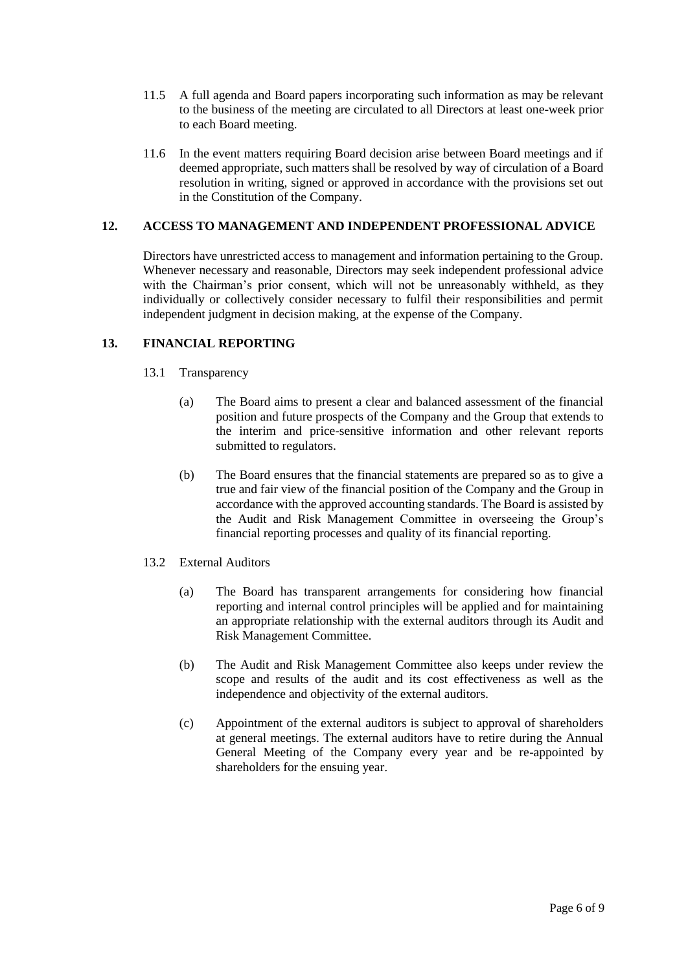- 11.5 A full agenda and Board papers incorporating such information as may be relevant to the business of the meeting are circulated to all Directors at least one-week prior to each Board meeting.
- 11.6 In the event matters requiring Board decision arise between Board meetings and if deemed appropriate, such matters shall be resolved by way of circulation of a Board resolution in writing, signed or approved in accordance with the provisions set out in the Constitution of the Company.

# **12. ACCESS TO MANAGEMENT AND INDEPENDENT PROFESSIONAL ADVICE**

Directors have unrestricted access to management and information pertaining to the Group. Whenever necessary and reasonable, Directors may seek independent professional advice with the Chairman's prior consent, which will not be unreasonably withheld, as they individually or collectively consider necessary to fulfil their responsibilities and permit independent judgment in decision making, at the expense of the Company.

# **13. FINANCIAL REPORTING**

- 13.1 Transparency
	- (a) The Board aims to present a clear and balanced assessment of the financial position and future prospects of the Company and the Group that extends to the interim and price-sensitive information and other relevant reports submitted to regulators.
	- (b) The Board ensures that the financial statements are prepared so as to give a true and fair view of the financial position of the Company and the Group in accordance with the approved accounting standards. The Board is assisted by the Audit and Risk Management Committee in overseeing the Group's financial reporting processes and quality of its financial reporting.
- 13.2 External Auditors
	- (a) The Board has transparent arrangements for considering how financial reporting and internal control principles will be applied and for maintaining an appropriate relationship with the external auditors through its Audit and Risk Management Committee.
	- (b) The Audit and Risk Management Committee also keeps under review the scope and results of the audit and its cost effectiveness as well as the independence and objectivity of the external auditors.
	- (c) Appointment of the external auditors is subject to approval of shareholders at general meetings. The external auditors have to retire during the Annual General Meeting of the Company every year and be re-appointed by shareholders for the ensuing year.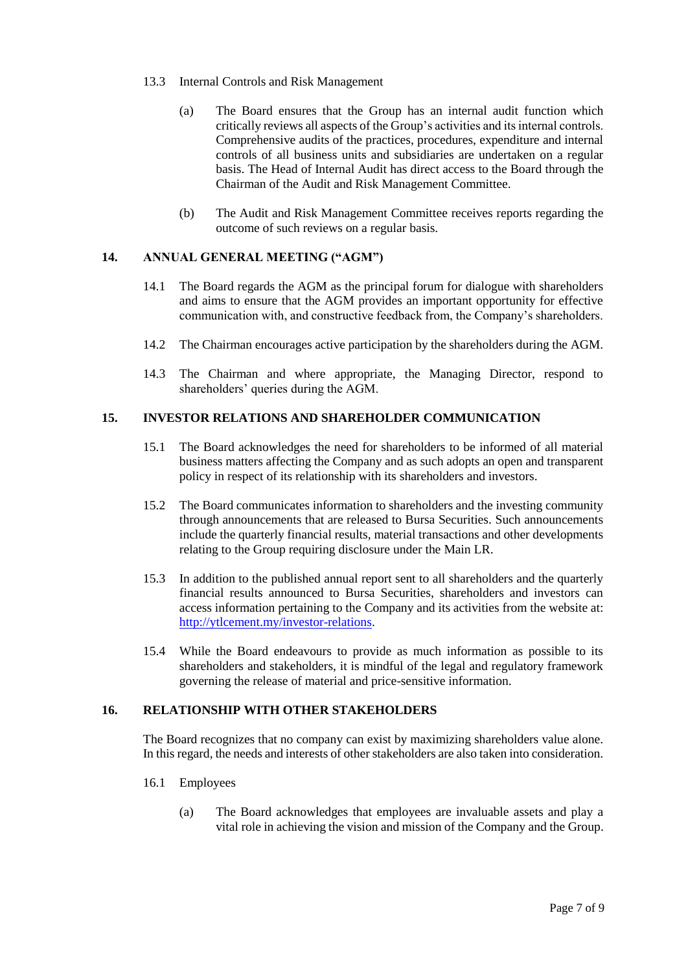- 13.3 Internal Controls and Risk Management
	- (a) The Board ensures that the Group has an internal audit function which critically reviews all aspects of the Group's activities and its internal controls. Comprehensive audits of the practices, procedures, expenditure and internal controls of all business units and subsidiaries are undertaken on a regular basis. The Head of Internal Audit has direct access to the Board through the Chairman of the Audit and Risk Management Committee.
	- (b) The Audit and Risk Management Committee receives reports regarding the outcome of such reviews on a regular basis.

# **14. ANNUAL GENERAL MEETING ("AGM")**

- 14.1 The Board regards the AGM as the principal forum for dialogue with shareholders and aims to ensure that the AGM provides an important opportunity for effective communication with, and constructive feedback from, the Company's shareholders.
- 14.2 The Chairman encourages active participation by the shareholders during the AGM.
- 14.3 The Chairman and where appropriate, the Managing Director, respond to shareholders' queries during the AGM.

# **15. INVESTOR RELATIONS AND SHAREHOLDER COMMUNICATION**

- 15.1 The Board acknowledges the need for shareholders to be informed of all material business matters affecting the Company and as such adopts an open and transparent policy in respect of its relationship with its shareholders and investors.
- 15.2 The Board communicates information to shareholders and the investing community through announcements that are released to Bursa Securities. Such announcements include the quarterly financial results, material transactions and other developments relating to the Group requiring disclosure under the Main LR.
- 15.3 In addition to the published annual report sent to all shareholders and the quarterly financial results announced to Bursa Securities, shareholders and investors can access information pertaining to the Company and its activities from the website at: [http://ytlcement.my/investor-relations.](http://ytlcement.my/investor-relations)
- 15.4 While the Board endeavours to provide as much information as possible to its shareholders and stakeholders, it is mindful of the legal and regulatory framework governing the release of material and price-sensitive information.

#### **16. RELATIONSHIP WITH OTHER STAKEHOLDERS**

The Board recognizes that no company can exist by maximizing shareholders value alone. In this regard, the needs and interests of other stakeholders are also taken into consideration.

- 16.1 Employees
	- (a) The Board acknowledges that employees are invaluable assets and play a vital role in achieving the vision and mission of the Company and the Group.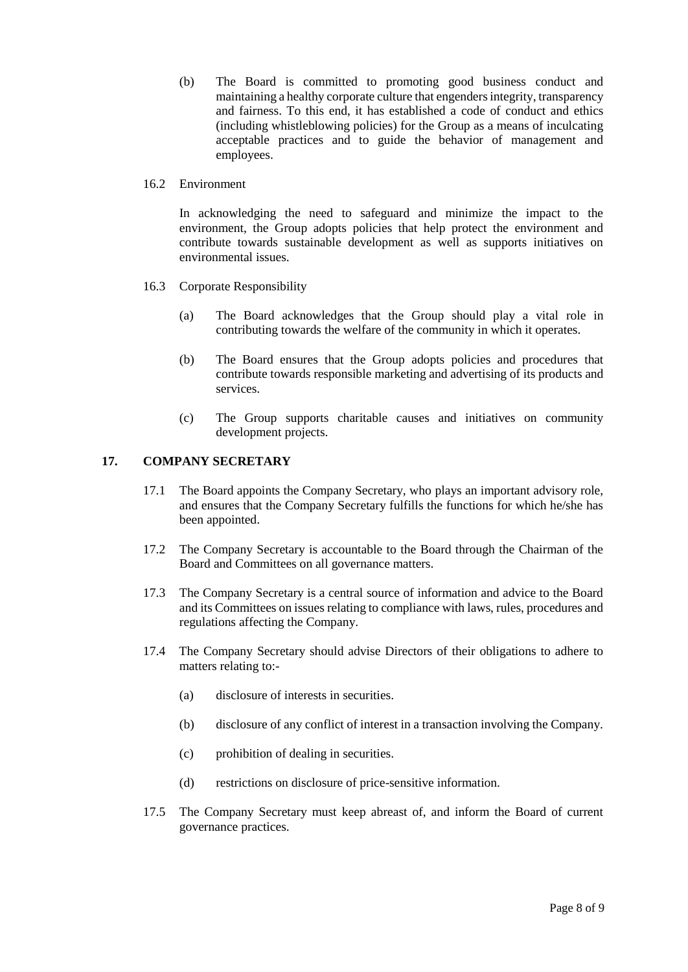(b) The Board is committed to promoting good business conduct and maintaining a healthy corporate culture that engenders integrity, transparency and fairness. To this end, it has established a code of conduct and ethics (including whistleblowing policies) for the Group as a means of inculcating acceptable practices and to guide the behavior of management and employees.

## 16.2 Environment

In acknowledging the need to safeguard and minimize the impact to the environment, the Group adopts policies that help protect the environment and contribute towards sustainable development as well as supports initiatives on environmental issues.

- 16.3 Corporate Responsibility
	- (a) The Board acknowledges that the Group should play a vital role in contributing towards the welfare of the community in which it operates.
	- (b) The Board ensures that the Group adopts policies and procedures that contribute towards responsible marketing and advertising of its products and services.
	- (c) The Group supports charitable causes and initiatives on community development projects.

# **17. COMPANY SECRETARY**

- 17.1 The Board appoints the Company Secretary, who plays an important advisory role, and ensures that the Company Secretary fulfills the functions for which he/she has been appointed.
- 17.2 The Company Secretary is accountable to the Board through the Chairman of the Board and Committees on all governance matters.
- 17.3 The Company Secretary is a central source of information and advice to the Board and its Committees on issues relating to compliance with laws, rules, procedures and regulations affecting the Company.
- 17.4 The Company Secretary should advise Directors of their obligations to adhere to matters relating to:-
	- (a) disclosure of interests in securities.
	- (b) disclosure of any conflict of interest in a transaction involving the Company.
	- (c) prohibition of dealing in securities.
	- (d) restrictions on disclosure of price-sensitive information.
- 17.5 The Company Secretary must keep abreast of, and inform the Board of current governance practices.